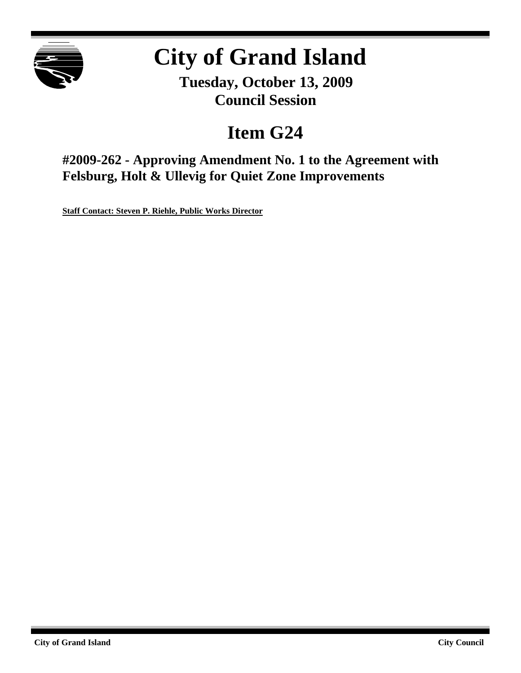

# **City of Grand Island**

**Tuesday, October 13, 2009 Council Session**

# **Item G24**

**#2009-262 - Approving Amendment No. 1 to the Agreement with Felsburg, Holt & Ullevig for Quiet Zone Improvements**

**Staff Contact: Steven P. Riehle, Public Works Director**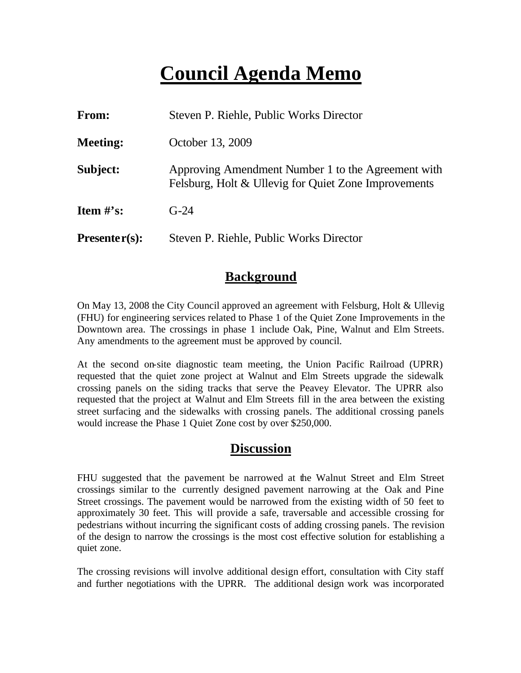# **Council Agenda Memo**

| From:                          | Steven P. Riehle, Public Works Director                                                                    |  |
|--------------------------------|------------------------------------------------------------------------------------------------------------|--|
| <b>Meeting:</b>                | October 13, 2009                                                                                           |  |
| Subject:                       | Approving Amendment Number 1 to the Agreement with<br>Felsburg, Holt & Ullevig for Quiet Zone Improvements |  |
| <b>Item <math>\#</math>'s:</b> | $G-24$                                                                                                     |  |
| $Presenter(s):$                | Steven P. Riehle, Public Works Director                                                                    |  |

## **Background**

On May 13, 2008 the City Council approved an agreement with Felsburg, Holt & Ullevig (FHU) for engineering services related to Phase 1 of the Quiet Zone Improvements in the Downtown area. The crossings in phase 1 include Oak, Pine, Walnut and Elm Streets. Any amendments to the agreement must be approved by council.

At the second on-site diagnostic team meeting, the Union Pacific Railroad (UPRR) requested that the quiet zone project at Walnut and Elm Streets upgrade the sidewalk crossing panels on the siding tracks that serve the Peavey Elevator. The UPRR also requested that the project at Walnut and Elm Streets fill in the area between the existing street surfacing and the sidewalks with crossing panels. The additional crossing panels would increase the Phase 1 Quiet Zone cost by over \$250,000.

### **Discussion**

FHU suggested that the pavement be narrowed at the Walnut Street and Elm Street crossings similar to the currently designed pavement narrowing at the Oak and Pine Street crossings. The pavement would be narrowed from the existing width of 50 feet to approximately 30 feet. This will provide a safe, traversable and accessible crossing for pedestrians without incurring the significant costs of adding crossing panels. The revision of the design to narrow the crossings is the most cost effective solution for establishing a quiet zone.

The crossing revisions will involve additional design effort, consultation with City staff and further negotiations with the UPRR. The additional design work was incorporated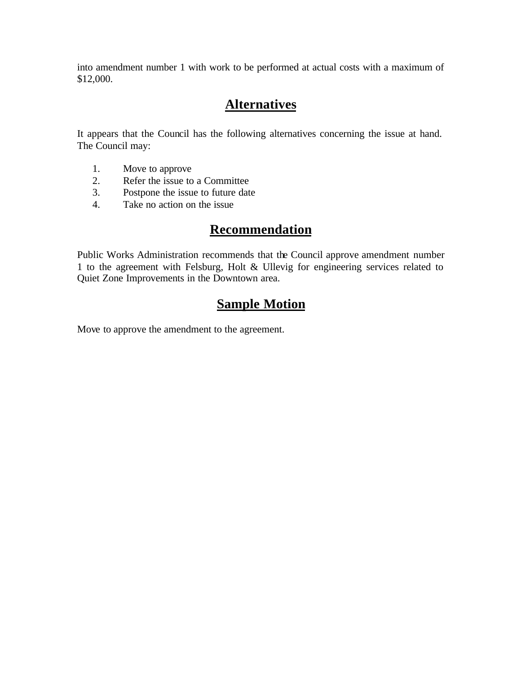into amendment number 1 with work to be performed at actual costs with a maximum of \$12,000.

# **Alternatives**

It appears that the Council has the following alternatives concerning the issue at hand. The Council may:

- 1. Move to approve
- 2. Refer the issue to a Committee<br>3. Postpone the issue to future date
- Postpone the issue to future date
- 4. Take no action on the issue

### **Recommendation**

Public Works Administration recommends that the Council approve amendment number 1 to the agreement with Felsburg, Holt & Ullevig for engineering services related to Quiet Zone Improvements in the Downtown area.

# **Sample Motion**

Move to approve the amendment to the agreement.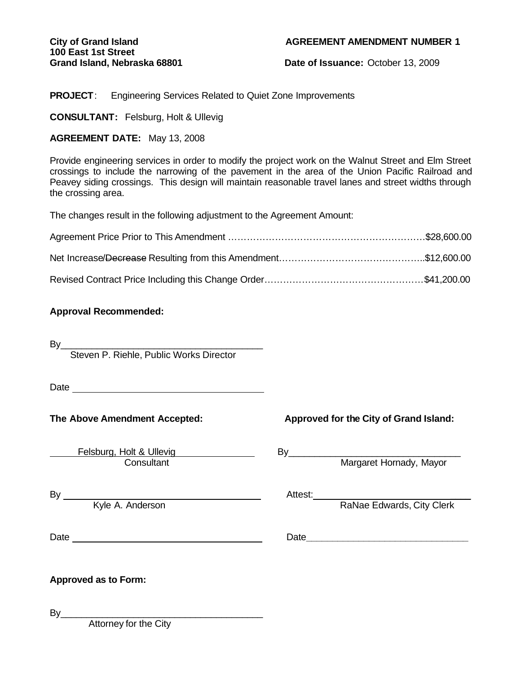**Grand Island, Nebraska 68801 Date of Issuance:** October 13, 2009

**PROJECT**: Engineering Services Related to Quiet Zone Improvements

**CONSULTANT:** Felsburg, Holt & Ullevig

#### **AGREEMENT DATE:** May 13, 2008

Provide engineering services in order to modify the project work on the Walnut Street and Elm Street crossings to include the narrowing of the pavement in the area of the Union Pacific Railroad and Peavey siding crossings. This design will maintain reasonable travel lanes and street widths through the crossing area.

The changes result in the following adjustment to the Agreement Amount:

#### **Approval Recommended:**

By\_\_\_\_\_\_\_\_\_\_\_\_\_\_\_\_\_\_\_\_\_\_\_\_\_\_\_\_\_\_\_\_\_\_\_\_\_\_\_

Steven P. Riehle, Public Works Director

Date

Felsburg, Holt & Ullevig elsburg, Holt & Ullevig entitled by Margaret Hornady, Mayor<br>
Consultant Consultant Margaret Hornady, Mayor

### **The Above Amendment Accepted: Approved for the City of Grand Island:**

By Attest: \_\_\_\_

Kyle A. Anderson **Rangers** Ranae Edwards, City Clerk

Date Date**\_\_\_\_\_\_\_\_\_\_\_\_\_\_\_\_\_\_\_\_\_\_\_\_\_\_\_\_\_\_\_**

#### **Approved as to Form:**

By\_\_\_\_\_\_\_\_\_\_\_\_\_\_\_\_\_\_\_\_\_\_\_\_\_\_\_\_\_\_\_\_\_\_\_\_\_\_\_

Attorney for the City